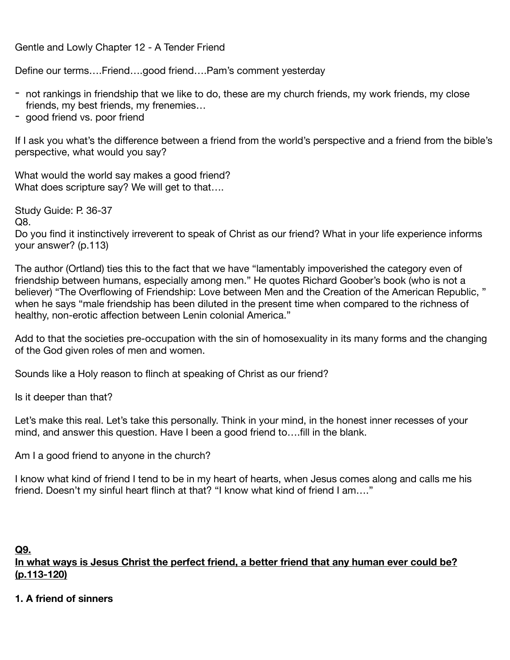Gentle and Lowly Chapter 12 - A Tender Friend

Define our terms….Friend….good friend….Pam's comment yesterday

- not rankings in friendship that we like to do, these are my church friends, my work friends, my close friends, my best friends, my frenemies…
- good friend vs. poor friend

If I ask you what's the difference between a friend from the world's perspective and a friend from the bible's perspective, what would you say?

What would the world say makes a good friend? What does scripture say? We will get to that….

Study Guide: P. 36-37 Q8.

Do you find it instinctively irreverent to speak of Christ as our friend? What in your life experience informs your answer? (p.113)

The author (Ortland) ties this to the fact that we have "lamentably impoverished the category even of friendship between humans, especially among men." He quotes Richard Goober's book (who is not a believer) "The Overflowing of Friendship: Love between Men and the Creation of the American Republic, " when he says "male friendship has been diluted in the present time when compared to the richness of healthy, non-erotic affection between Lenin colonial America."

Add to that the societies pre-occupation with the sin of homosexuality in its many forms and the changing of the God given roles of men and women.

Sounds like a Holy reason to flinch at speaking of Christ as our friend?

Is it deeper than that?

Let's make this real. Let's take this personally. Think in your mind, in the honest inner recesses of your mind, and answer this question. Have I been a good friend to….fill in the blank.

Am I a good friend to anyone in the church?

I know what kind of friend I tend to be in my heart of hearts, when Jesus comes along and calls me his friend. Doesn't my sinful heart flinch at that? "I know what kind of friend I am…."

#### **Q9.**

**In what ways is Jesus Christ the perfect friend, a better friend that any human ever could be? (p.113-120)** 

#### **1. A friend of sinners**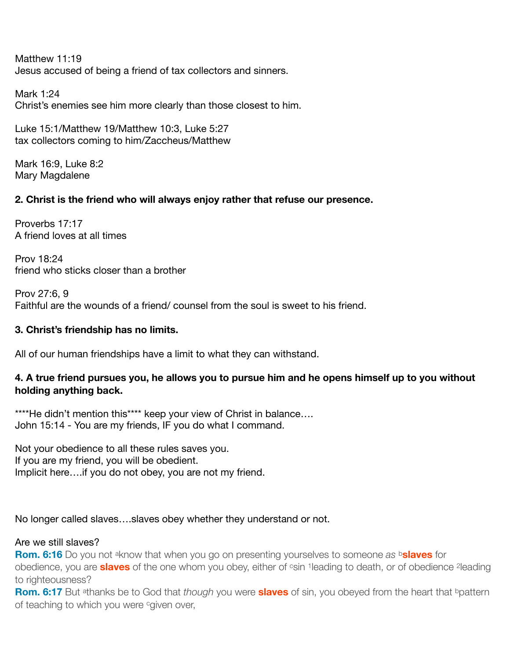Matthew 11:19 Jesus accused of being a friend of tax collectors and sinners.

Mark 1:24 Christ's enemies see him more clearly than those closest to him.

Luke 15:1/Matthew 19/Matthew 10:3, Luke 5:27 tax collectors coming to him/Zaccheus/Matthew

Mark 16:9, Luke 8:2 Mary Magdalene

# **2. Christ is the friend who will always enjoy rather that refuse our presence.**

Proverbs 17:17 A friend loves at all times

Prov 18:24 friend who sticks closer than a brother

Prov 27:6, 9 Faithful are the wounds of a friend/ counsel from the soul is sweet to his friend.

# **3. Christ's friendship has no limits.**

All of our human friendships have a limit to what they can withstand.

## **4. A true friend pursues you, he allows you to pursue him and he opens himself up to you without holding anything back.**

\*\*\*\*He didn't mention this\*\*\*\* keep your view of Christ in balance.... John 15:14 - You are my friends, IF you do what I command.

Not your obedience to all these rules saves you. If you are my friend, you will be obedient. Implicit here….if you do not obey, you are not my friend.

## No longer called slaves….slaves obey whether they understand or not.

## Are we still slaves?

**Rom. 6:16** Do you not aknow that when you go on presenting yourselves to someone *as* b**slaves** for obedience, you are **slaves** of the one whom you obey, either of csin 1leading to death, or of obedience 2leading to righteousness?

**Rom. 6:17** But athanks be to God that *though* you were **slaves** of sin, you obeyed from the heart that bpattern of teaching to which you were cgiven over,